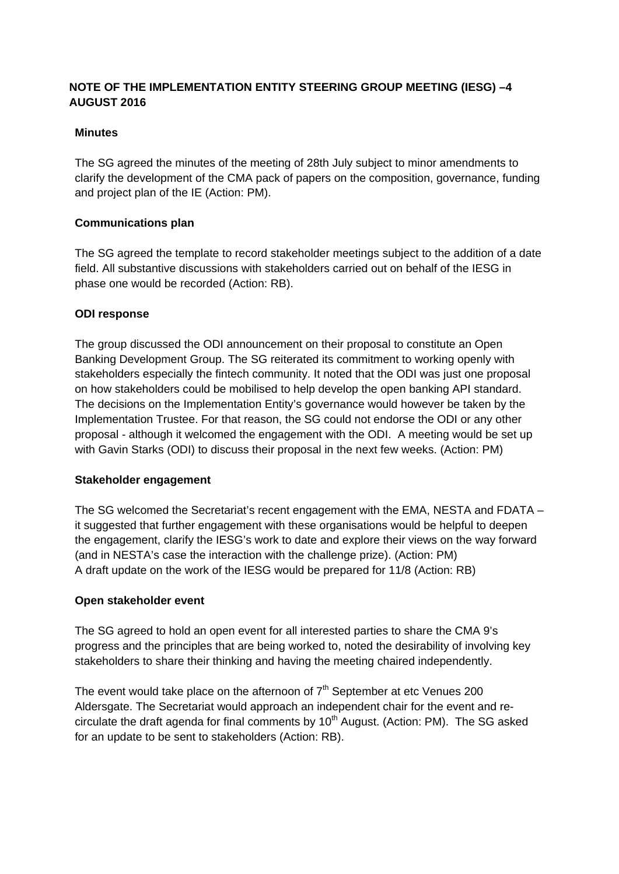# **NOTE OF THE IMPLEMENTATION ENTITY STEERING GROUP MEETING (IESG) –4 AUGUST 2016**

# **Minutes**

The SG agreed the minutes of the meeting of 28th July subject to minor amendments to clarify the development of the CMA pack of papers on the composition, governance, funding and project plan of the IE (Action: PM).

# **Communications plan**

The SG agreed the template to record stakeholder meetings subject to the addition of a date field. All substantive discussions with stakeholders carried out on behalf of the IESG in phase one would be recorded (Action: RB).

# **ODI response**

The group discussed the ODI announcement on their proposal to constitute an Open Banking Development Group. The SG reiterated its commitment to working openly with stakeholders especially the fintech community. It noted that the ODI was just one proposal on how stakeholders could be mobilised to help develop the open banking API standard. The decisions on the Implementation Entity's governance would however be taken by the Implementation Trustee. For that reason, the SG could not endorse the ODI or any other proposal - although it welcomed the engagement with the ODI. A meeting would be set up with Gavin Starks (ODI) to discuss their proposal in the next few weeks. (Action: PM)

## **Stakeholder engagement**

The SG welcomed the Secretariat's recent engagement with the EMA, NESTA and FDATA – it suggested that further engagement with these organisations would be helpful to deepen the engagement, clarify the IESG's work to date and explore their views on the way forward (and in NESTA's case the interaction with the challenge prize). (Action: PM) A draft update on the work of the IESG would be prepared for 11/8 (Action: RB)

## **Open stakeholder event**

The SG agreed to hold an open event for all interested parties to share the CMA 9's progress and the principles that are being worked to, noted the desirability of involving key stakeholders to share their thinking and having the meeting chaired independently.

The event would take place on the afternoon of  $7<sup>th</sup>$  September at etc Venues 200 Aldersgate. The Secretariat would approach an independent chair for the event and recirculate the draft agenda for final comments by  $10<sup>th</sup>$  August. (Action: PM). The SG asked for an update to be sent to stakeholders (Action: RB).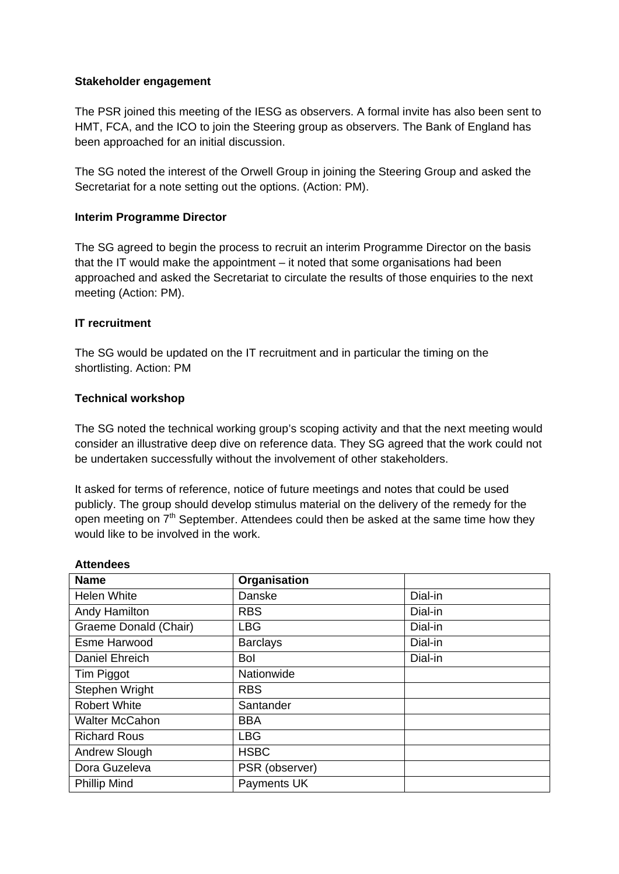## **Stakeholder engagement**

The PSR joined this meeting of the IESG as observers. A formal invite has also been sent to HMT, FCA, and the ICO to join the Steering group as observers. The Bank of England has been approached for an initial discussion.

The SG noted the interest of the Orwell Group in joining the Steering Group and asked the Secretariat for a note setting out the options. (Action: PM).

#### **Interim Programme Director**

The SG agreed to begin the process to recruit an interim Programme Director on the basis that the IT would make the appointment – it noted that some organisations had been approached and asked the Secretariat to circulate the results of those enquiries to the next meeting (Action: PM).

## **IT recruitment**

**Attendees**

The SG would be updated on the IT recruitment and in particular the timing on the shortlisting. Action: PM

#### **Technical workshop**

The SG noted the technical working group's scoping activity and that the next meeting would consider an illustrative deep dive on reference data. They SG agreed that the work could not be undertaken successfully without the involvement of other stakeholders.

It asked for terms of reference, notice of future meetings and notes that could be used publicly. The group should develop stimulus material on the delivery of the remedy for the open meeting on  $7<sup>th</sup>$  September. Attendees could then be asked at the same time how they would like to be involved in the work.

| <b>Name</b>           | Organisation    |         |
|-----------------------|-----------------|---------|
| <b>Helen White</b>    | Danske          | Dial-in |
| Andy Hamilton         | <b>RBS</b>      | Dial-in |
| Graeme Donald (Chair) | <b>LBG</b>      | Dial-in |
| Esme Harwood          | <b>Barclays</b> | Dial-in |
| Daniel Ehreich        | <b>Bol</b>      | Dial-in |
| Tim Piggot            | Nationwide      |         |
| Stephen Wright        | <b>RBS</b>      |         |
| <b>Robert White</b>   | Santander       |         |
| <b>Walter McCahon</b> | <b>BBA</b>      |         |
| <b>Richard Rous</b>   | <b>LBG</b>      |         |
| Andrew Slough         | <b>HSBC</b>     |         |
| Dora Guzeleva         | PSR (observer)  |         |
| <b>Phillip Mind</b>   | Payments UK     |         |